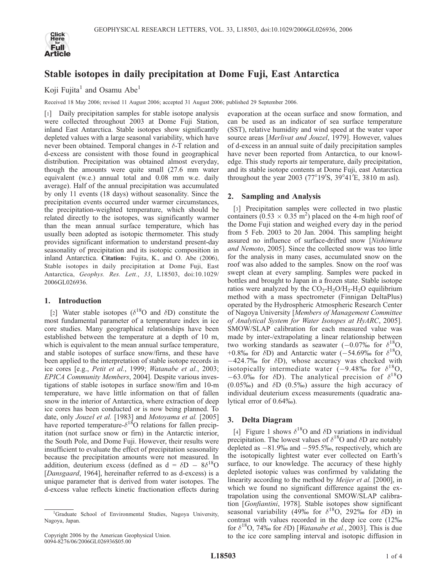

# Stable isotopes in daily precipitation at Dome Fuji, East Antarctica

Koji Fujita<sup>1</sup> and Osamu Abe<sup>1</sup>

Received 18 May 2006; revised 11 August 2006; accepted 31 August 2006; published 29 September 2006.

[1] Daily precipitation samples for stable isotope analysis were collected throughout 2003 at Dome Fuji Station, inland East Antarctica. Stable isotopes show significantly depleted values with a large seasonal variability, which have never been obtained. Temporal changes in  $\delta$ -T relation and d-excess are consistent with those found in geographical distribution. Precipitation was obtained almost everyday, though the amounts were quite small (27.6 mm water equivalent (w.e.) annual total and 0.08 mm w.e. daily average). Half of the annual precipitation was accumulated by only 11 events (18 days) without seasonality. Since the precipitation events occurred under warmer circumstances, the precipitation-weighted temperature, which should be related directly to the isotopes, was significantly warmer than the mean annual surface temperature, which has usually been adopted as isotopic thermometer. This study provides significant information to understand present-day seasonality of precipitation and its isotopic composition in inland Antarctica. Citation: Fujita, K., and O. Abe (2006), Stable isotopes in daily precipitation at Dome Fuji, East Antarctica, Geophys. Res. Lett., 33, L18503, doi:10.1029/ 2006GL026936.

## 1. Introduction

[2] Water stable isotopes ( $\delta^{18}$ O and  $\delta$ D) constitute the most fundamental parameter of a temperature index in ice core studies. Many geographical relationships have been established between the temperature at a depth of 10 m, which is equivalent to the mean annual surface temperature, and stable isotopes of surface snow/firns, and these have been applied to the interpretation of stable isotope records in ice cores [e.g., Petit et al., 1999; Watanabe et al., 2003; EPICA Community Members, 2004]. Despite various investigations of stable isotopes in surface snow/firn and 10-m temperature, we have little information on that of fallen snow in the interior of Antarctica, where extraction of deep ice cores has been conducted or is now being planned. To date, only Jouzel et al. [1983] and Motoyama et al. [2005] have reported temperature- $\delta^{18}$ O relations for fallen precipitation (not surface snow or firn) in the Antarctic interior, the South Pole, and Dome Fuji. However, their results were insufficient to evaluate the effect of precipitation seasonality because the precipitation amounts were not measured. In addition, deuterium excess (defined as  $d = \delta D - 8\delta^{18}O$ [Dansgaard, 1964], hereinafter referred to as d-excess) is a unique parameter that is derived from water isotopes. The d-excess value reflects kinetic fractionation effects during

evaporation at the ocean surface and snow formation, and can be used as an indicator of sea surface temperature (SST), relative humidity and wind speed at the water vapor source areas [Merlivat and Jouzel, 1979]. However, values of d-excess in an annual suite of daily precipitation samples have never been reported from Antarctica, to our knowledge. This study reports air temperature, daily precipitation, and its stable isotope contents at Dome Fuji, east Antarctica throughout the year 2003 (77°19′S, 39°41′E, 3810 m asl).

## 2. Sampling and Analysis

[3] Precipitation samples were collected in two plastic containers  $(0.53 \times 0.35 \text{ m}^2)$  placed on the 4-m high roof of the Dome Fuji station and weighed every day in the period from 5 Feb. 2003 to 20 Jan. 2004. This sampling height assured no influence of surface-drifted snow [Nishimura and Nemoto, 2005]. Since the collected snow was too little for the analysis in many cases, accumulated snow on the roof was also added to the samples. Snow on the roof was swept clean at every sampling. Samples were packed in bottles and brought to Japan in a frozen state. Stable isotope ratios were analyzed by the  $CO<sub>2</sub>-H<sub>2</sub>O/H<sub>2</sub>-H<sub>2</sub>O$  equilibrium method with a mass spectrometer (Finnigan DeltaPlus) operated by the Hydrospheric Atmospheric Research Center of Nagoya University [Members of Management Committee of Analytical System for Water Isotopes at HyARC, 2005]. SMOW/SLAP calibration for each measured value was made by inter-/extrapolating a linear relationship between two working standards as seawater  $(-0.07\% \text{ for } \delta^{18}O,$ +0.8% for  $\delta$ D) and Antarctic water (-54.69% for  $\delta^{18}O$ ,  $-424.7\%$  for  $\delta D$ ), whose accuracy was checked with isotopically intermediate water  $(-9.48\% \text{ for } \delta^{18}O,$  $-63.0\%$  for  $\delta$ D). The analytical precision of  $\delta^{18}$ O  $(0.05\%)$  and  $\delta D$   $(0.5\%)$  assure the high accuracy of individual deuterium excess measurements (quadratic analytical error of 0.64%).

# 3. Delta Diagram

[4] Figure 1 shows  $\delta^{18}$ O and  $\delta$ D variations in individual precipitation. The lowest values of  $\delta^{18}$ O and  $\delta$ D are notably depleted as  $-81.9\%$  and  $-595.5\%$ , respectively, which are the isotopically lightest water ever collected on Earth's surface, to our knowledge. The accuracy of these highly depleted isotopic values was confirmed by validating the linearity according to the method by *Meijer et al.* [2000], in which we found no significant difference against the extrapolation using the conventional SMOW/SLAP calibration [Gonfiantini, 1978]. Stable isotopes show significant seasonal variability (49‰ for  $\delta^{18}O$ , 292‰ for  $\delta D$ ) in contrast with values recorded in the deep ice core (12% for  $\delta^{18}O$ , 74% for  $\delta D$ ) [*Watanabe et al.*, 2003]. This is due to the ice core sampling interval and isotopic diffusion in

<sup>&</sup>lt;sup>1</sup>Graduate School of Environmental Studies, Nagoya University, Nagoya, Japan.

Copyright 2006 by the American Geophysical Union. 0094-8276/06/2006GL026936\$05.00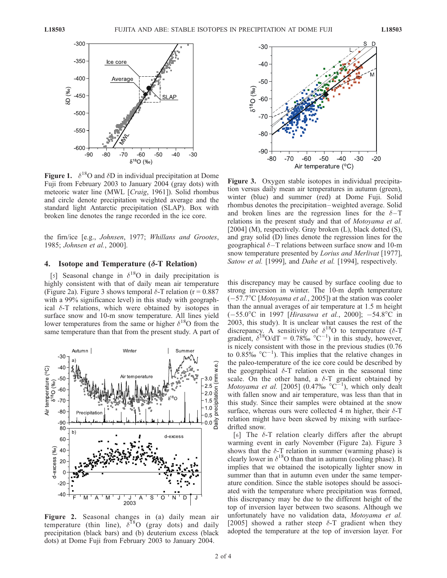

Figure 1.  $\delta^{18}$ O and  $\delta$ D in individual precipitation at Dome Fuji from February 2003 to January 2004 (gray dots) with meteoric water line (MWL [Craig, 1961]). Solid rhombus and circle denote precipitation weighted average and the standard light Antarctic precipitation (SLAP). Box with broken line denotes the range recorded in the ice core.

the firn/ice [e.g., Johnsen, 1977; Whillans and Grootes, 1985; Johnsen et al., 2000].

## 4. Isotope and Temperature  $(\delta$ -T Relation)

[5] Seasonal change in  $\delta^{18}$ O in daily precipitation is highly consistent with that of daily mean air temperature (Figure 2a). Figure 3 shows temporal  $\delta$ -T relation (r = 0.887) with a 99% significance level) in this study with geographical  $\delta$ -T relations, which were obtained by isotopes in surface snow and 10-m snow temperature. All lines yield lower temperatures from the same or higher  $\delta^{18}$ O from the same temperature than that from the present study. A part of



Figure 2. Seasonal changes in (a) daily mean air temperature (thin line),  $\delta^{18}O$  (gray dots) and daily precipitation (black bars) and (b) deuterium excess (black dots) at Dome Fuji from February 2003 to January 2004.



Figure 3. Oxygen stable isotopes in individual precipitation versus daily mean air temperatures in autumn (green), winter (blue) and summer (red) at Dome Fuji. Solid rhombus denotes the precipitation –weighted average. Solid and broken lines are the regression lines for the  $\delta$ -T relations in the present study and that of Motoyama et al. [2004] (M), respectively. Gray broken (L), black dotted (S), and gray solid (D) lines denote the regression lines for the geographical  $\delta$ -T relations between surface snow and 10-m snow temperature presented by *Lorius and Merlivat* [1977], Satow et al. [1999], and Dahe et al. [1994], respectively.

this discrepancy may be caused by surface cooling due to strong inversion in winter. The 10-m depth temperature  $(-57.7^{\circ}C)$  [*Motoyama et al.*, 2005]) at the station was cooler than the annual averages of air temperature at 1.5 m height  $(-55.0^{\circ}\text{C}$  in 1997 [Hirasawa et al., 2000];  $-54.8^{\circ}\text{C}$  in 2003, this study). It is unclear what causes the rest of the discrepancy. A sensitivity of  $\delta^{18}$ O to temperature ( $\delta$ -T gradient,  $\delta^{18}O/dT = 0.78\%$  °C<sup>-1</sup>) in this study, however, is nicely consistent with those in the previous studies (0.76 to  $0.85\%$  °C<sup>-1</sup>). This implies that the relative changes in the paleo-temperature of the ice core could be described by the geographical  $\delta$ -T relation even in the seasonal time scale. On the other hand, a  $\delta$ -T gradient obtained by Motoyama et al. [2005]  $(0.47\% \, \degree \text{C}^{-1})$ , which only dealt with fallen snow and air temperature, was less than that in this study. Since their samples were obtained at the snow surface, whereas ours were collected 4 m higher, their  $\delta$ -T relation might have been skewed by mixing with surfacedrifted snow.

[6] The  $\delta$ -T relation clearly differs after the abrupt warming event in early November (Figure 2a). Figure 3 shows that the  $\delta$ -T relation in summer (warming phase) is clearly lower in  $\delta^{18}$ O than that in autumn (cooling phase). It implies that we obtained the isotopically lighter snow in summer than that in autumn even under the same temperature condition. Since the stable isotopes should be associated with the temperature where precipitation was formed, this discrepancy may be due to the different height of the top of inversion layer between two seasons. Although we unfortunately have no validation data, Motoyama et al. [2005] showed a rather steep  $\delta$ -T gradient when they adopted the temperature at the top of inversion layer. For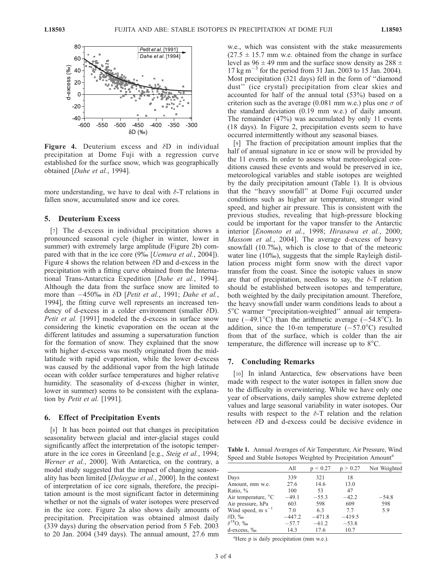

Figure 4. Deuterium excess and  $\delta$ D in individual precipitation at Dome Fuji with a regression curve established for the surface snow, which was geographically obtained [Dahe et al., 1994].

more understanding, we have to deal with  $\delta$ -T relations in fallen snow, accumulated snow and ice cores.

#### 5. Deuterium Excess

[7] The d-excess in individual precipitation shows a pronounced seasonal cycle (higher in winter, lower in summer) with extremely large amplitude (Figure 2b) compared with that in the ice core (9‰ [*Uemura et al.*, 2004]). Figure 4 shows the relation between  $\delta$ D and d-excess in the precipitation with a fitting curve obtained from the International Trans-Antarctica Expedition [Dahe et al., 1994]. Although the data from the surface snow are limited to more than  $-450\%$  in  $\delta D$  [*Petit et al.*, 1991; *Dahe et al.*, 1994], the fitting curve well represents an increased tendency of d-excess in a colder environment (smaller  $\delta$ D). Petit et al. [1991] modeled the d-excess in surface snow considering the kinetic evaporation on the ocean at the different latitudes and assuming a supersaturation function for the formation of snow. They explained that the snow with higher d-excess was mostly originated from the midlatitude with rapid evaporation, while the lower d-excess was caused by the additional vapor from the high latitude ocean with colder surface temperatures and higher relative humidity. The seasonality of d-excess (higher in winter, lower in summer) seems to be consistent with the explanation by *Petit et al.* [1991].

## 6. Effect of Precipitation Events

[8] It has been pointed out that changes in precipitation seasonality between glacial and inter-glacial stages could significantly affect the interpretation of the isotopic temperature in the ice cores in Greenland [e.g., Steig et al., 1994; Werner et al., 2000]. With Antarctica, on the contrary, a model study suggested that the impact of changing seasonality has been limited [Delaygue et al., 2000]. In the context of interpretation of ice core signals, therefore, the precipitation amount is the most significant factor in determining whether or not the signals of water isotopes were preserved in the ice core. Figure 2a also shows daily amounts of precipitation. Precipitation was obtained almost daily (339 days) during the observation period from 5 Feb. 2003 to 20 Jan. 2004 (349 days). The annual amount, 27.6 mm

w.e., which was consistent with the stake measurements  $(27.5 \pm 15.7 \text{ mm} \text{ w.e. obtained from the change in surface})$ level as  $96 \pm 49$  mm and the surface snow density as  $288 \pm$  $17 \text{ kg m}^{-3}$  for the period from 31 Jan. 2003 to 15 Jan. 2004). Most precipitation (321 days) fell in the form of ''diamond dust'' (ice crystal) precipitation from clear skies and accounted for half of the annual total (53%) based on a criterion such as the average (0.081 mm w.e.) plus one  $\sigma$  of the standard deviation (0.19 mm w.e.) of daily amount. The remainder (47%) was accumulated by only 11 events (18 days). In Figure 2, precipitation events seem to have occurred intermittently without any seasonal biases.

[9] The fraction of precipitation amount implies that the half of annual signature in ice or snow will be provided by the 11 events. In order to assess what meteorological conditions caused these events and would be preserved in ice, meteorological variables and stable isotopes are weighted by the daily precipitation amount (Table 1). It is obvious that the ''heavy snowfall'' at Dome Fuji occurred under conditions such as higher air temperature, stronger wind speed, and higher air pressure. This is consistent with the previous studies, revealing that high-pressure blocking could be important for the vapor transfer to the Antarctic interior [Enomoto et al., 1998; Hirasawa et al., 2000; Massom et al., 2004]. The average d-excess of heavy snowfall (10.7%), which is close to that of the meteoric water line (10‰), suggests that the simple Rayleigh distillation process might form snow with the direct vapor transfer from the coast. Since the isotopic values in snow are that of precipitation, needless to say, the  $\delta$ -T relation should be established between isotopes and temperature, both weighted by the daily precipitation amount. Therefore, the heavy snowfall under warm conditions leads to about a 5C warmer ''precipitation-weighted'' annual air temperature  $(-49.1^{\circ}$ C) than the arithmetic average  $(-54.8^{\circ}$ C). In addition, since the 10-m temperature  $(-57.0^{\circ}C)$  resulted from that of the surface, which is colder than the air temperature, the difference will increase up to  $8^{\circ}$ C.

## 7. Concluding Remarks

[10] In inland Antarctica, few observations have been made with respect to the water isotopes in fallen snow due to the difficulty in overwintering. While we have only one year of observations, daily samples show extreme depleted values and large seasonal variability in water isotopes. Our results with respect to the  $\delta$ -T relation and the relation between  $\delta$ D and d-excess could be decisive evidence in

Table 1. Annual Averages of Air Temperature, Air Pressure, Wind Speed and Stable Isotopes Weighted by Precipitation Amount<sup>a</sup>

|                                 | All      | ${}_{\leq 0.27}$ | p > 0.27 | Not Weighted |
|---------------------------------|----------|------------------|----------|--------------|
| Days                            | 339      | 321              | 18       |              |
| Amount, mm w.e.                 | 27.6     | 14.6             | 13.0     |              |
| Ratio, %                        | 100      | 53               | 47       |              |
| Air temperature, <sup>o</sup> C | $-49.1$  | $-55.3$          | $-42.2$  | $-54.8$      |
| Air pressure, hPa               | 603      | 598              | 609      | 598          |
| Wind speed, m $s^{-1}$          | 7.0      | 6.3              | 7.7      | 5.9          |
| $\delta D, \%$                  | $-447.2$ | $-471.8$         | $-419.5$ |              |
| $\delta^{18}O, \%$              | $-57.7$  | $-61.2$          | $-53.8$  |              |
| d-excess, ‰                     | 14.3     | 17.6             | 10.7     |              |

<sup>a</sup>Here p is daily precipitation (mm w.e.).